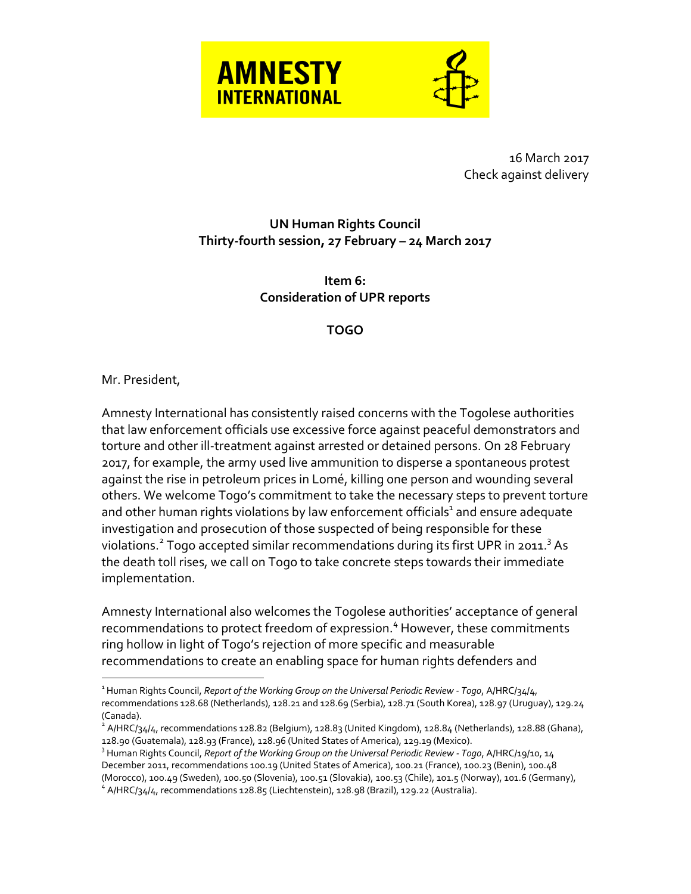

16 March 2017 Check against delivery

## **UN Human Rights Council Thirty-fourth session, 27 February – 24 March 2017**

**Item 6: Consideration of UPR reports**

**TOGO**

## Mr. President,

 $\overline{a}$ 

Amnesty International has consistently raised concerns with the Togolese authorities that law enforcement officials use excessive force against peaceful demonstrators and torture and other ill-treatment against arrested or detained persons. On 28 February 2017, for example, the army used live ammunition to disperse a spontaneous protest against the rise in petroleum prices in Lomé, killing one person and wounding several others. We welcome Togo's commitment to take the necessary steps to prevent torture and other human rights violations by law enforcement officials<sup>1</sup> and ensure adequate investigation and prosecution of those suspected of being responsible for these violations.<sup>2</sup> Togo accepted similar recommendations during its first UPR in 2011.<sup>3</sup> As the death toll rises, we call on Togo to take concrete steps towards their immediate implementation.

Amnesty International also welcomes the Togolese authorities' acceptance of general recommendations to protect freedom of expression. <sup>4</sup> However, these commitments ring hollow in light of Togo's rejection of more specific and measurable recommendations to create an enabling space for human rights defenders and

<sup>1</sup> Human Rights Council, *Report of the Working Group on the Universal Periodic Review - Togo*, A/HRC/34/4, recommendations 128.68 (Netherlands), 128.21 and 128.69 (Serbia), 128.71 (South Korea), 128.97 (Uruguay), 129.24 (Canada).

 $^2$  A/HRC/34/4, recommendations 128.82 (Belgium), 128.83 (United Kingdom), 128.84 (Netherlands), 128.88 (Ghana), 128.90 (Guatemala), 128.93 (France), 128.96 (United States of America), 129.19 (Mexico).

<sup>3</sup> Human Rights Council, *Report of the Working Group on the Universal Periodic Review - Togo*, A/HRC/19/10, 14 December 2011, recommendations 100.19 (United States of America), 100.21 (France), 100.23 (Benin), 100.48 (Morocco), 100.49 (Sweden), 100.50 (Slovenia), 100.51 (Slovakia), 100.53 (Chile), 101.5 (Norway), 101.6 (Germany), <sup>4</sup> A/HRC/34/4, recommendations 128.85 (Liechtenstein), 128.98 (Brazil), 129.22 (Australia).